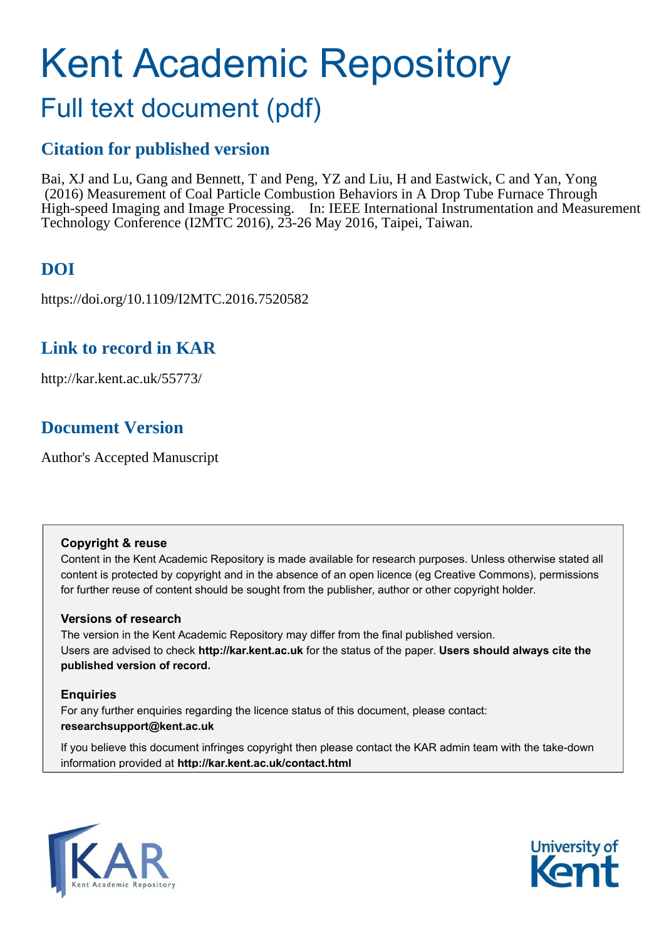# Kent Academic Repository

# Full text document (pdf)

## **Citation for published version**

Bai, XJ and Lu, Gang and Bennett, T and Peng, YZ and Liu, H and Eastwick, C and Yan, Yong (2016) Measurement of Coal Particle Combustion Behaviors in A Drop Tube Furnace Through High-speed Imaging and Image Processing. In: IEEE International Instrumentation and Measurement Technology Conference (I2MTC 2016), 23-26 May 2016, Taipei, Taiwan.

## **DOI**

https://doi.org/10.1109/I2MTC.2016.7520582

## **Link to record in KAR**

http://kar.kent.ac.uk/55773/

## **Document Version**

Author's Accepted Manuscript

#### **Copyright & reuse**

Content in the Kent Academic Repository is made available for research purposes. Unless otherwise stated all content is protected by copyright and in the absence of an open licence (eg Creative Commons), permissions for further reuse of content should be sought from the publisher, author or other copyright holder.

#### **Versions of research**

The version in the Kent Academic Repository may differ from the final published version. Users are advised to check **http://kar.kent.ac.uk** for the status of the paper. **Users should always cite the published version of record.**

#### **Enquiries**

For any further enquiries regarding the licence status of this document, please contact: **researchsupport@kent.ac.uk**

If you believe this document infringes copyright then please contact the KAR admin team with the take-down information provided at **http://kar.kent.ac.uk/contact.html**



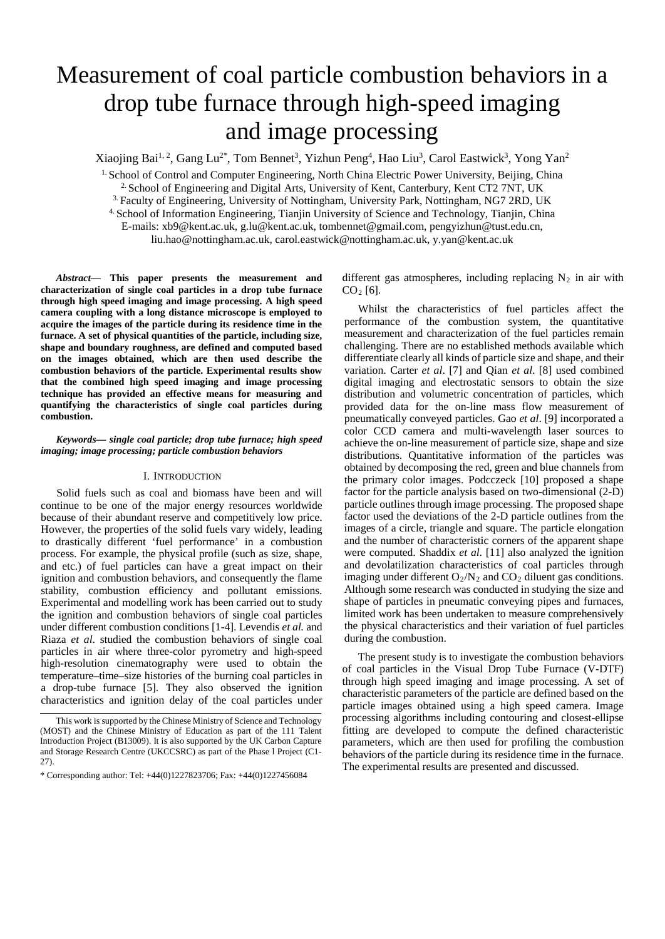## Measurement of coal particle combustion behaviors in a drop tube furnace through high-speed imaging and image processing

Xiaojing Bai<sup>1, 2</sup>, Gang Lu<sup>2\*</sup>, Tom Bennet<sup>3</sup>, Yizhun Peng<sup>4</sup>, Hao Liu<sup>3</sup>, Carol Eastwick<sup>3</sup>, Yong Yan<sup>2</sup>

<sup>1.</sup> School of Control and Computer Engineering, North China Electric Power University, Beijing, China

2. School of Engineering and Digital Arts, University of Kent, Canterbury, Kent CT2 7NT, UK

3. Faculty of Engineering, University of Nottingham, University Park, Nottingham, NG7 2RD, UK

4. School of Information Engineering, Tianjin University of Science and Technology, Tianjin, China

E-mails: xb9@kent.ac.uk, g.lu@kent.ac.uk, tombennet@gmail.com, pengyizhun@tust.edu.cn,

liu.hao@nottingham.ac.uk, carol.eastwick@nottingham.ac.uk, y.yan@kent.ac.uk

*Abstract***— This paper presents the measurement and characterization of single coal particles in a drop tube furnace through high speed imaging and image processing. A high speed camera coupling with a long distance microscope is employed to acquire the images of the particle during its residence time in the furnace. A set of physical quantities of the particle, including size, shape and boundary roughness, are defined and computed based on the images obtained, which are then used describe the combustion behaviors of the particle. Experimental results show that the combined high speed imaging and image processing technique has provided an effective means for measuring and quantifying the characteristics of single coal particles during combustion.** 

#### *Keywords— single coal particle; drop tube furnace; high speed imaging; image processing; particle combustion behaviors*

#### I. INTRODUCTION

Solid fuels such as coal and biomass have been and will continue to be one of the major energy resources worldwide because of their abundant reserve and competitively low price. However, the properties of the solid fuels vary widely, leading to drastically different 'fuel performance' in a combustion process. For example, the physical profile (such as size, shape, and etc.) of fuel particles can have a great impact on their ignition and combustion behaviors, and consequently the flame stability, combustion efficiency and pollutant emissions. Experimental and modelling work has been carried out to study the ignition and combustion behaviors of single coal particles under different combustion conditions [1-4]. Levendis *et al.* and Riaza *et al*. studied the combustion behaviors of single coal particles in air where three-color pyrometry and high-speed high-resolution cinematography were used to obtain the temperature–time–size histories of the burning coal particles in a drop-tube furnace [5]. They also observed the ignition characteristics and ignition delay of the coal particles under

different gas atmospheres, including replacing  $N_2$  in air with  $CO<sub>2</sub>$  [6].

Whilst the characteristics of fuel particles affect the performance of the combustion system, the quantitative measurement and characterization of the fuel particles remain challenging. There are no established methods available which differentiate clearly all kinds of particle size and shape, and their variation. Carter *et al*. [7] and Qian *et al*. [8] used combined digital imaging and electrostatic sensors to obtain the size distribution and volumetric concentration of particles, which provided data for the on-line mass flow measurement of pneumatically conveyed particles. Gao *et al*. [9] incorporated a color CCD camera and multi-wavelength laser sources to achieve the on-line measurement of particle size, shape and size distributions. Quantitative information of the particles was obtained by decomposing the red, green and blue channels from the primary color images. Podcczeck [10] proposed a shape factor for the particle analysis based on two-dimensional (2-D) particle outlines through image processing. The proposed shape factor used the deviations of the 2-D particle outlines from the images of a circle, triangle and square. The particle elongation and the number of characteristic corners of the apparent shape were computed. Shaddix *et al*. [11] also analyzed the ignition and devolatilization characteristics of coal particles through imaging under different  $O_2/N_2$  and  $CO_2$  diluent gas conditions. Although some research was conducted in studying the size and shape of particles in pneumatic conveying pipes and furnaces, limited work has been undertaken to measure comprehensively the physical characteristics and their variation of fuel particles during the combustion.

The present study is to investigate the combustion behaviors of coal particles in the Visual Drop Tube Furnace (V-DTF) through high speed imaging and image processing. A set of characteristic parameters of the particle are defined based on the particle images obtained using a high speed camera. Image processing algorithms including contouring and closest-ellipse fitting are developed to compute the defined characteristic parameters, which are then used for profiling the combustion behaviors of the particle during its residence time in the furnace. The experimental results are presented and discussed.

This work is supported by the Chinese Ministry of Science and Technology (MOST) and the Chinese Ministry of Education as part of the 111 Talent Introduction Project (B13009). It is also supported by the UK Carbon Capture and Storage Research Centre (UKCCSRC) as part of the Phase l Project (C1- 27).

<sup>\*</sup> Corresponding author: Tel: +44(0)1227823706; Fax: +44(0)1227456084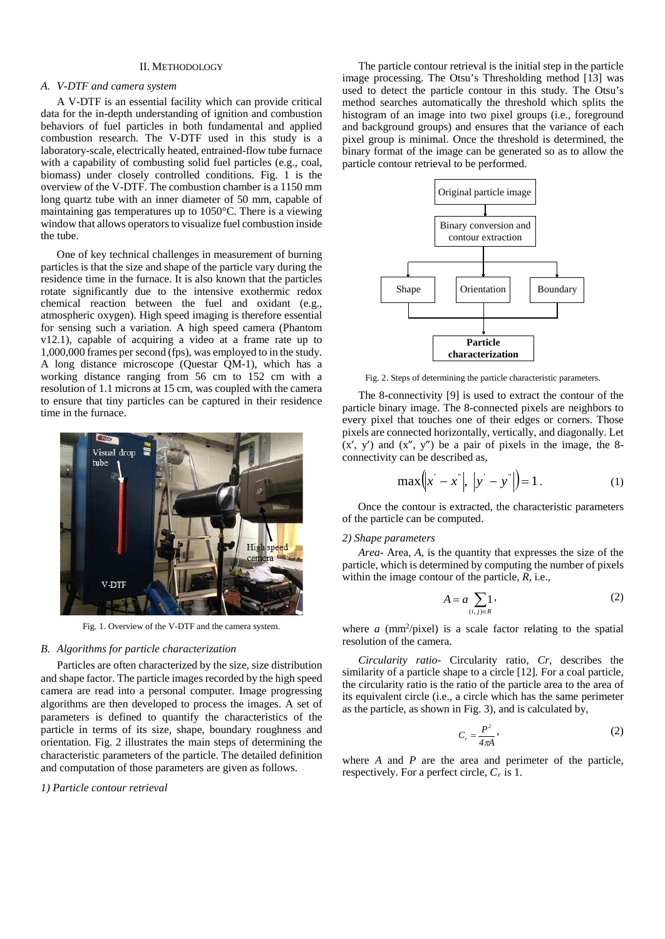#### II. METHODOLOGY

#### *A. V-DTF and camera system*

A V-DTF is an essential facility which can provide critical data for the in-depth understanding of ignition and combustion behaviors of fuel particles in both fundamental and applied combustion research. The V-DTF used in this study is a laboratory-scale, electrically heated, entrained-flow tube furnace with a capability of combusting solid fuel particles (e.g., coal, biomass) under closely controlled conditions. Fig. 1 is the overview of the V-DTF. The combustion chamber is a 1150 mm long quartz tube with an inner diameter of 50 mm, capable of maintaining gas temperatures up to 1050°C. There is a viewing window that allows operators to visualize fuel combustion inside the tube.

One of key technical challenges in measurement of burning particles is that the size and shape of the particle vary during the residence time in the furnace. It is also known that the particles rotate significantly due to the intensive exothermic redox chemical reaction between the fuel and oxidant (e.g., atmospheric oxygen). High speed imaging is therefore essential for sensing such a variation. A high speed camera (Phantom v12.1), capable of acquiring a video at a frame rate up to 1,000,000 frames per second (fps), was employed to in the study. A long distance microscope (Questar QM-1), which has a working distance ranging from 56 cm to 152 cm with a resolution of 1.1 microns at 15 cm, was coupled with the camera to ensure that tiny particles can be captured in their residence time in the furnace.



Fig. 1. Overview of the V-DTF and the camera system.

#### *B. Algorithms for particle characterization*

Particles are often characterized by the size, size distribution and shape factor. The particle images recorded by the high speed camera are read into a personal computer. Image progressing algorithms are then developed to process the images. A set of parameters is defined to quantify the characteristics of the particle in terms of its size, shape, boundary roughness and orientation. Fig. 2 illustrates the main steps of determining the characteristic parameters of the particle. The detailed definition and computation of those parameters are given as follows.

#### *1) Particle contour retrieval*

The particle contour retrieval is the initial step in the particle image processing. The Otsu's Thresholding method [13] was used to detect the particle contour in this study. The Otsu's method searches automatically the threshold which splits the histogram of an image into two pixel groups (i.e., foreground and background groups) and ensures that the variance of each pixel group is minimal. Once the threshold is determined, the binary format of the image can be generated so as to allow the particle contour retrieval to be performed.



Fig. 2. Steps of determining the particle characteristic parameters.

The 8-connectivity [9] is used to extract the contour of the particle binary image. The 8-connected pixels are neighbors to every pixel that touches one of their edges or corners. Those pixels are connected horizontally, vertically, and diagonally. Let  $(x', y')$  and  $(x'', y'')$  be a pair of pixels in the image, the 8connectivity can be described as,

$$
\max(|x' - x^{*}|, |y' - y^{*}|) = 1.
$$
 (1)

Once the contour is extracted, the characteristic parameters of the particle can be computed.

#### *2) Shape parameters*

*Area-* Area, *A*, is the quantity that expresses the size of the particle, which is determined by computing the number of pixels within the image contour of the particle, *R*, i.e.,

$$
A = a \sum_{(i,j)\in R} 1,\tag{2}
$$

where  $a$  ( $mm^2$ / $pix$ el) is a scale factor relating to the spatial resolution of the camera.

*Circularity ratio-* Circularity ratio, *Cr*, describes the similarity of a particle shape to a circle [12]. For a coal particle, the circularity ratio is the ratio of the particle area to the area of its equivalent circle (i.e., a circle which has the same perimeter as the particle, as shown in Fig. 3), and is calculated by,

$$
C_r = \frac{P^2}{4\pi A},\tag{2}
$$

where *A* and *P* are the area and perimeter of the particle, respectively. For a perfect circle, *C<sup>r</sup>* is 1.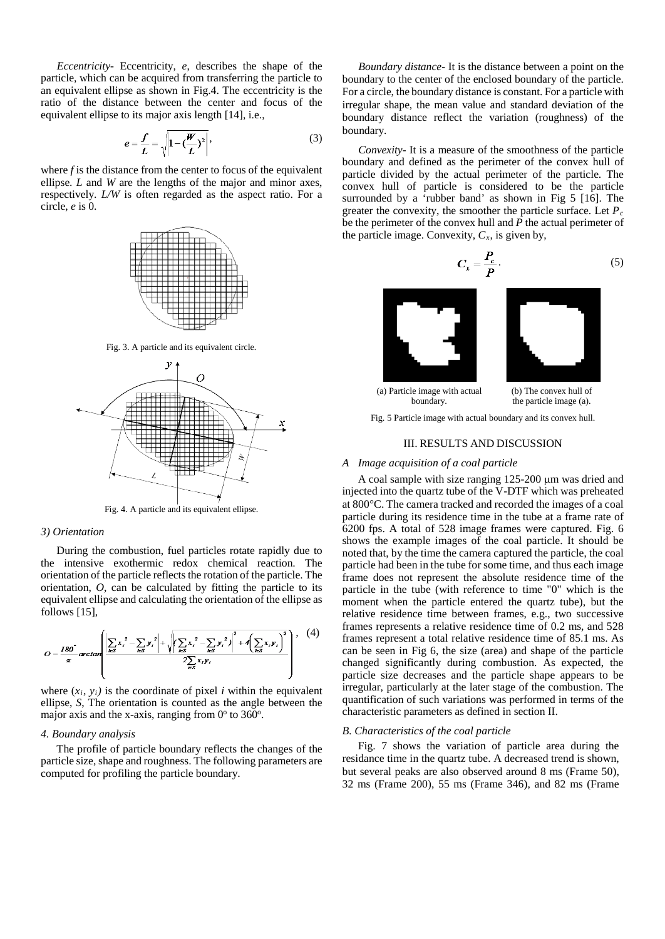*Eccentricity-* Eccentricity, *e*, describes the shape of the particle, which can be acquired from transferring the particle to an equivalent ellipse as shown in Fig.4. The eccentricity is the ratio of the distance between the center and focus of the equivalent ellipse to its major axis length [14], i.e.,

$$
e = \frac{f}{L} = \sqrt{1 - \left(\frac{W}{L}\right)^2},
$$
\n(3)

where  $f$  is the distance from the center to focus of the equivalent ellipse. *L* and *W* are the lengths of the major and minor axes, respectively. *L/W* is often regarded as the aspect ratio. For a circle, *e* is 0.



Fig. 3. A particle and its equivalent circle.



Fig. 4. A particle and its equivalent ellipse.

#### *3) Orientation*

During the combustion, fuel particles rotate rapidly due to the intensive exothermic redox chemical reaction. The orientation of the particle reflects the rotation of the particle. The orientation, *O*, can be calculated by fitting the particle to its equivalent ellipse and calculating the orientation of the ellipse as follows [15],

$$
O = \frac{180^\circ}{\pi} \arctan \left( \frac{\left| \sum_{i \in S} x_i^2 - \sum_{i \in S} y_i^2 \right| + \sqrt{\left( \sum_{i \in S} x_i^2 - \sum_{i \in S} y_i^2 \right)^2 + 4 \left( \sum_{i \in S} x_i y_i \right)^2}}{2 \sum_{i \in S} x_i y_i} \right), \quad (4)
$$

where  $(x_i, y_i)$  is the coordinate of pixel *i* within the equivalent ellipse, *S*, The orientation is counted as the angle between the major axis and the x-axis, ranging from  $0^\circ$  to 360 $^\circ$ .

#### *4. Boundary analysis*

The profile of particle boundary reflects the changes of the particle size, shape and roughness. The following parameters are computed for profiling the particle boundary.

 *Boundary distance-* It is the distance between a point on the boundary to the center of the enclosed boundary of the particle. For a circle, the boundary distance is constant. For a particle with irregular shape, the mean value and standard deviation of the boundary distance reflect the variation (roughness) of the boundary.

*Convexity-* It is a measure of the smoothness of the particle boundary and defined as the perimeter of the convex hull of particle divided by the actual perimeter of the particle. The convex hull of particle is considered to be the particle surrounded by a 'rubber band' as shown in Fig 5 [16]. The greater the convexity, the smoother the particle surface. Let *P<sup>c</sup>* be the perimeter of the convex hull and *P* the actual perimeter of the particle image. Convexity,  $C_x$ , is given by,

$$
C_x = \frac{P_c}{P} \,. \tag{5}
$$



Fig. 5 Particle image with actual boundary and its convex hull.

#### III. RESULTS AND DISCUSSION

#### *A Image acquisition of a coal particle*

A coal sample with size ranging 125-200 µm was dried and injected into the quartz tube of the V-DTF which was preheated at 800°C. The camera tracked and recorded the images of a coal particle during its residence time in the tube at a frame rate of 6200 fps. A total of 528 image frames were captured. Fig. 6 shows the example images of the coal particle. It should be noted that, by the time the camera captured the particle, the coal particle had been in the tube for some time, and thus each image frame does not represent the absolute residence time of the particle in the tube (with reference to time "0" which is the moment when the particle entered the quartz tube), but the relative residence time between frames, e.g., two successive frames represents a relative residence time of 0.2 ms, and 528 frames represent a total relative residence time of 85.1 ms. As can be seen in Fig 6, the size (area) and shape of the particle changed significantly during combustion. As expected, the particle size decreases and the particle shape appears to be irregular, particularly at the later stage of the combustion. The quantification of such variations was performed in terms of the characteristic parameters as defined in section II.

#### *B. Characteristics of the coal particle*

Fig. 7 shows the variation of particle area during the residance time in the quartz tube. A decreased trend is shown, but several peaks are also observed around 8 ms (Frame 50), 32 ms (Frame 200), 55 ms (Frame 346), and 82 ms (Frame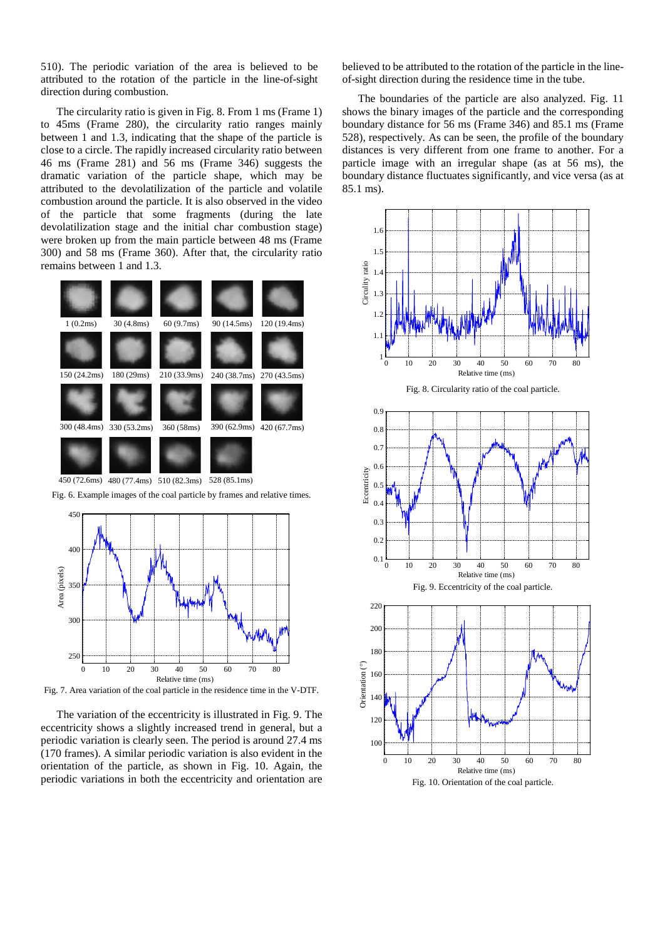510). The periodic variation of the area is believed to be attributed to the rotation of the particle in the line-of-sight direction during combustion.

The circularity ratio is given in Fig. 8. From 1 ms (Frame 1) to 45ms (Frame 280), the circularity ratio ranges mainly between 1 and 1.3, indicating that the shape of the particle is close to a circle. The rapidly increased circularity ratio between 46 ms (Frame 281) and 56 ms (Frame 346) suggests the dramatic variation of the particle shape, which may be attributed to the devolatilization of the particle and volatile combustion around the particle. It is also observed in the video of the particle that some fragments (during the late devolatilization stage and the initial char combustion stage) were broken up from the main particle between 48 ms (Frame 300) and 58 ms (Frame 360). After that, the circularity ratio remains between 1 and 1.3.



Fig. 6. Example images of the coal particle by frames and relative times.



Fig. 7. Area variation of the coal particle in the residence time in the V-DTF.

The variation of the eccentricity is illustrated in Fig. 9. The eccentricity shows a slightly increased trend in general, but a periodic variation is clearly seen. The period is around 27.4 ms (170 frames). A similar periodic variation is also evident in the orientation of the particle, as shown in Fig. 10. Again, the periodic variations in both the eccentricity and orientation are

believed to be attributed to the rotation of the particle in the lineof-sight direction during the residence time in the tube.

The boundaries of the particle are also analyzed. Fig. 11 shows the binary images of the particle and the corresponding boundary distance for 56 ms (Frame 346) and 85.1 ms (Frame 528), respectively. As can be seen, the profile of the boundary distances is very different from one frame to another. For a particle image with an irregular shape (as at 56 ms), the boundary distance fluctuates significantly, and vice versa (as at 85.1 ms).

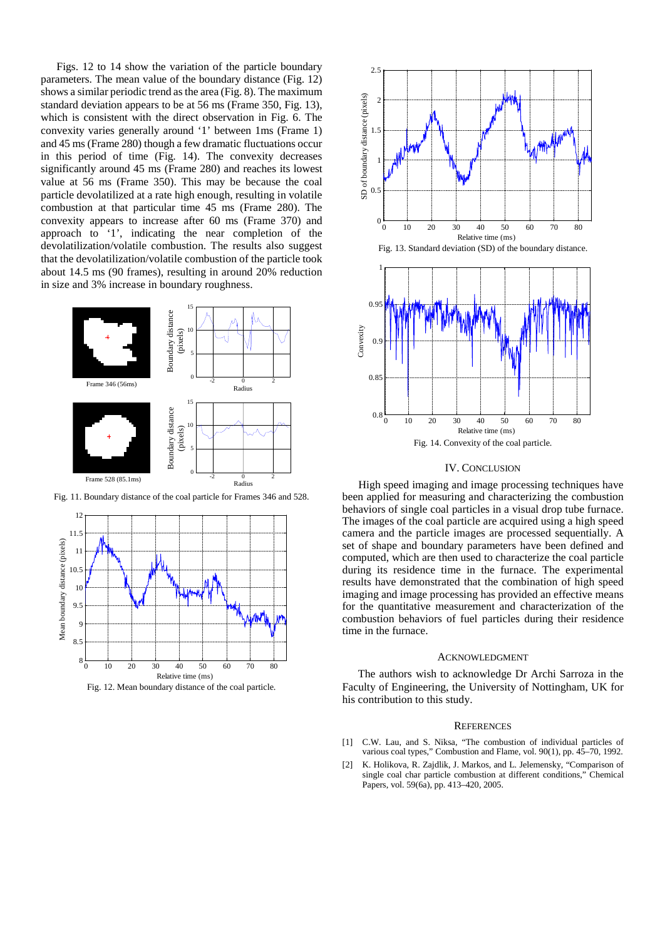Figs. 12 to 14 show the variation of the particle boundary parameters. The mean value of the boundary distance (Fig. 12) shows a similar periodic trend as the area (Fig. 8). The maximum standard deviation appears to be at 56 ms (Frame 350, Fig. 13), which is consistent with the direct observation in Fig. 6. The convexity varies generally around '1' between 1ms (Frame 1) and 45 ms (Frame 280) though a few dramatic fluctuations occur in this period of time (Fig. 14). The convexity decreases significantly around 45 ms (Frame 280) and reaches its lowest value at 56 ms (Frame 350). This may be because the coal particle devolatilized at a rate high enough, resulting in volatile combustion at that particular time 45 ms (Frame 280). The convexity appears to increase after 60 ms (Frame 370) and approach to '1', indicating the near completion of the devolatilization/volatile combustion. The results also suggest that the devolatilization/volatile combustion of the particle took about 14.5 ms (90 frames), resulting in around 20% reduction in size and 3% increase in boundary roughness.



Fig. 11. Boundary distance of the coal particle for Frames 346 and 528.



Fig. 12. Mean boundary distance of the coal particle.



#### IV. CONCLUSION

High speed imaging and image processing techniques have been applied for measuring and characterizing the combustion behaviors of single coal particles in a visual drop tube furnace. The images of the coal particle are acquired using a high speed camera and the particle images are processed sequentially. A set of shape and boundary parameters have been defined and computed, which are then used to characterize the coal particle during its residence time in the furnace. The experimental results have demonstrated that the combination of high speed imaging and image processing has provided an effective means for the quantitative measurement and characterization of the combustion behaviors of fuel particles during their residence time in the furnace.

#### ACKNOWLEDGMENT

The authors wish to acknowledge Dr Archi Sarroza in the Faculty of Engineering, the University of Nottingham, UK for his contribution to this study.

#### **REFERENCES**

- [1] C.W. Lau, and S. Niksa, "The combustion of individual particles of various coal types," Combustion and Flame, vol. 90(1), pp. 45–70, 1992.
- [2] K. Holikova, R. Zajdlik, J. Markos, and L. Jelemensky, "Comparison of single coal char particle combustion at different conditions," Chemical Papers, vol. 59(6a), pp. 413–420, 2005.